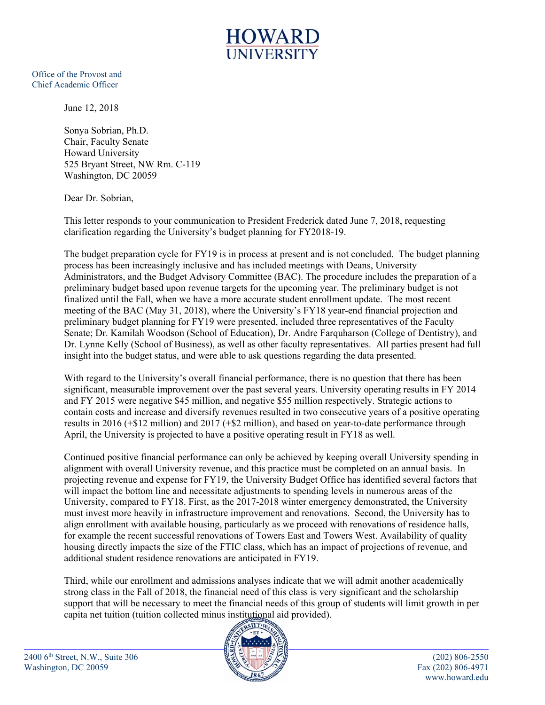

Office of the Provost and Chief Academic Officer

June 12, 2018

Sonya Sobrian, Ph.D. Chair, Faculty Senate Howard University 525 Bryant Street, NW Rm. C-119 Washington, DC 20059

Dear Dr. Sobrian,

This letter responds to your communication to President Frederick dated June 7, 2018, requesting clarification regarding the University's budget planning for FY2018-19.

The budget preparation cycle for FY19 is in process at present and is not concluded. The budget planning process has been increasingly inclusive and has included meetings with Deans, University Administrators, and the Budget Advisory Committee (BAC). The procedure includes the preparation of a preliminary budget based upon revenue targets for the upcoming year. The preliminary budget is not finalized until the Fall, when we have a more accurate student enrollment update. The most recent meeting of the BAC (May 31, 2018), where the University's FY18 year-end financial projection and preliminary budget planning for FY19 were presented, included three representatives of the Faculty Senate; Dr. Kamilah Woodson (School of Education), Dr. Andre Farquharson (College of Dentistry), and Dr. Lynne Kelly (School of Business), as well as other faculty representatives. All parties present had full insight into the budget status, and were able to ask questions regarding the data presented.

With regard to the University's overall financial performance, there is no question that there has been significant, measurable improvement over the past several years. University operating results in FY 2014 and FY 2015 were negative \$45 million, and negative \$55 million respectively. Strategic actions to contain costs and increase and diversify revenues resulted in two consecutive years of a positive operating results in 2016 (+\$12 million) and 2017 (+\$2 million), and based on year-to-date performance through April, the University is projected to have a positive operating result in FY18 as well.

Continued positive financial performance can only be achieved by keeping overall University spending in alignment with overall University revenue, and this practice must be completed on an annual basis. In projecting revenue and expense for FY19, the University Budget Office has identified several factors that will impact the bottom line and necessitate adjustments to spending levels in numerous areas of the University, compared to FY18. First, as the 2017-2018 winter emergency demonstrated, the University must invest more heavily in infrastructure improvement and renovations. Second, the University has to align enrollment with available housing, particularly as we proceed with renovations of residence halls, for example the recent successful renovations of Towers East and Towers West. Availability of quality housing directly impacts the size of the FTIC class, which has an impact of projections of revenue, and additional student residence renovations are anticipated in FY19.

Third, while our enrollment and admissions analyses indicate that we will admit another academically strong class in the Fall of 2018, the financial need of this class is very significant and the scholarship support that will be necessary to meet the financial needs of this group of students will limit growth in per capita net tuition (tuition collected minus institutional aid provided).



2400 6th Street, N.W., Suite 306 (202) 806-2550 Washington, DC 20059 Fax (202) 806-4971

www.howard.edu